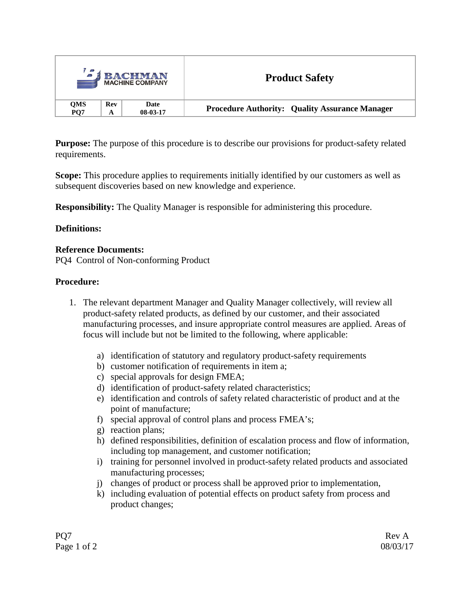| - آه                          |            | <b>BACHMAN</b><br><b>MACHINE COMPANY</b> | <b>Product Safety</b>                                 |  |
|-------------------------------|------------|------------------------------------------|-------------------------------------------------------|--|
| <b>QMS</b><br>PO <sub>7</sub> | <b>Rev</b> | Date<br>$08-03-17$                       | <b>Procedure Authority: Quality Assurance Manager</b> |  |

**Purpose:** The purpose of this procedure is to describe our provisions for product-safety related requirements.

**Scope:** This procedure applies to requirements initially identified by our customers as well as subsequent discoveries based on new knowledge and experience.

**Responsibility:** The Quality Manager is responsible for administering this procedure.

### **Definitions:**

#### **Reference Documents:**

PQ4 Control of Non-conforming Product

#### **Procedure:**

- 1. The relevant department Manager and Quality Manager collectively, will review all product-safety related products, as defined by our customer, and their associated manufacturing processes, and insure appropriate control measures are applied. Areas of focus will include but not be limited to the following, where applicable:
	- a) identification of statutory and regulatory product-safety requirements
	- b) customer notification of requirements in item a;
	- c) special approvals for design FMEA;
	- d) identification of product-safety related characteristics;
	- e) identification and controls of safety related characteristic of product and at the point of manufacture;
	- f) special approval of control plans and process FMEA's;
	- g) reaction plans;
	- h) defined responsibilities, definition of escalation process and flow of information, including top management, and customer notification;
	- i) training for personnel involved in product-safety related products and associated manufacturing processes;
	- j) changes of product or process shall be approved prior to implementation,
	- k) including evaluation of potential effects on product safety from process and product changes;